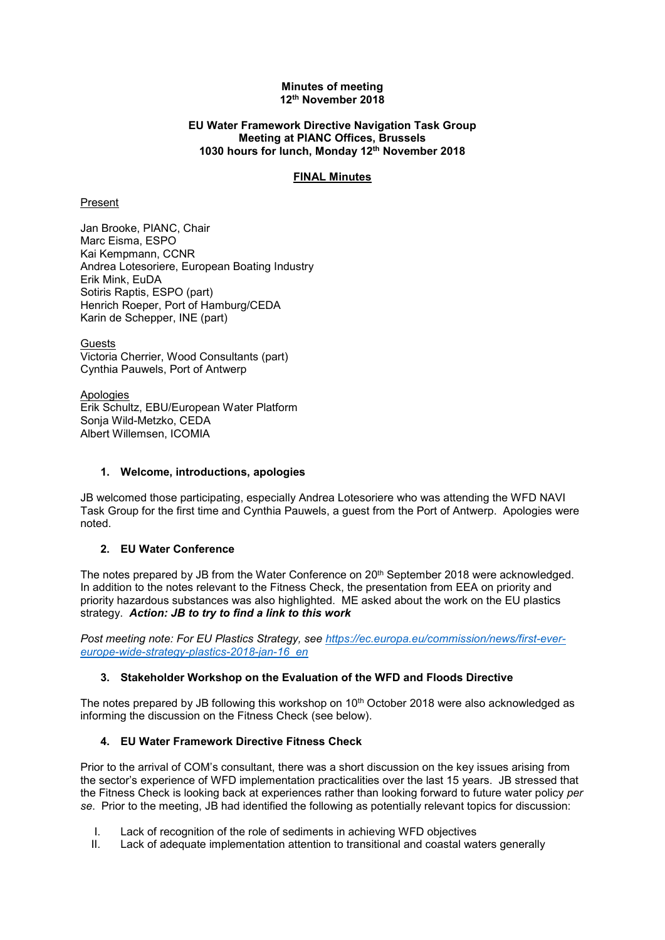#### **Minutes of meeting 12th November 2018**

#### **EU Water Framework Directive Navigation Task Group Meeting at PIANC Offices, Brussels 1030 hours for lunch, Monday 12th November 2018**

# **FINAL Minutes**

# Present

Jan Brooke, PIANC, Chair Marc Eisma, ESPO Kai Kempmann, CCNR Andrea Lotesoriere, European Boating Industry Erik Mink, EuDA Sotiris Raptis, ESPO (part) Henrich Roeper, Port of Hamburg/CEDA Karin de Schepper, INE (part)

Guests Victoria Cherrier, Wood Consultants (part) Cynthia Pauwels, Port of Antwerp

Apologies Erik Schultz, EBU/European Water Platform Sonja Wild-Metzko, CEDA Albert Willemsen, ICOMIA

# **1. Welcome, introductions, apologies**

JB welcomed those participating, especially Andrea Lotesoriere who was attending the WFD NAVI Task Group for the first time and Cynthia Pauwels, a guest from the Port of Antwerp. Apologies were noted.

# **2. EU Water Conference**

The notes prepared by JB from the Water Conference on 20<sup>th</sup> September 2018 were acknowledged. In addition to the notes relevant to the Fitness Check, the presentation from EEA on priority and priority hazardous substances was also highlighted. ME asked about the work on the EU plastics strategy. *Action: JB to try to find a link to this work*

*Post meeting note: For EU Plastics Strategy, see [https://ec.europa.eu/commission/news/first-ever](https://ec.europa.eu/commission/news/first-ever-europe-wide-strategy-plastics-2018-jan-16_en)[europe-wide-strategy-plastics-2018-jan-16\\_en](https://ec.europa.eu/commission/news/first-ever-europe-wide-strategy-plastics-2018-jan-16_en)*

# **3. Stakeholder Workshop on the Evaluation of the WFD and Floods Directive**

The notes prepared by JB following this workshop on 10<sup>th</sup> October 2018 were also acknowledged as informing the discussion on the Fitness Check (see below).

# **4. EU Water Framework Directive Fitness Check**

Prior to the arrival of COM's consultant, there was a short discussion on the key issues arising from the sector's experience of WFD implementation practicalities over the last 15 years. JB stressed that the Fitness Check is looking back at experiences rather than looking forward to future water policy *per se*. Prior to the meeting, JB had identified the following as potentially relevant topics for discussion:

- I. Lack of recognition of the role of sediments in achieving WFD objectives
- II. Lack of adequate implementation attention to transitional and coastal waters generally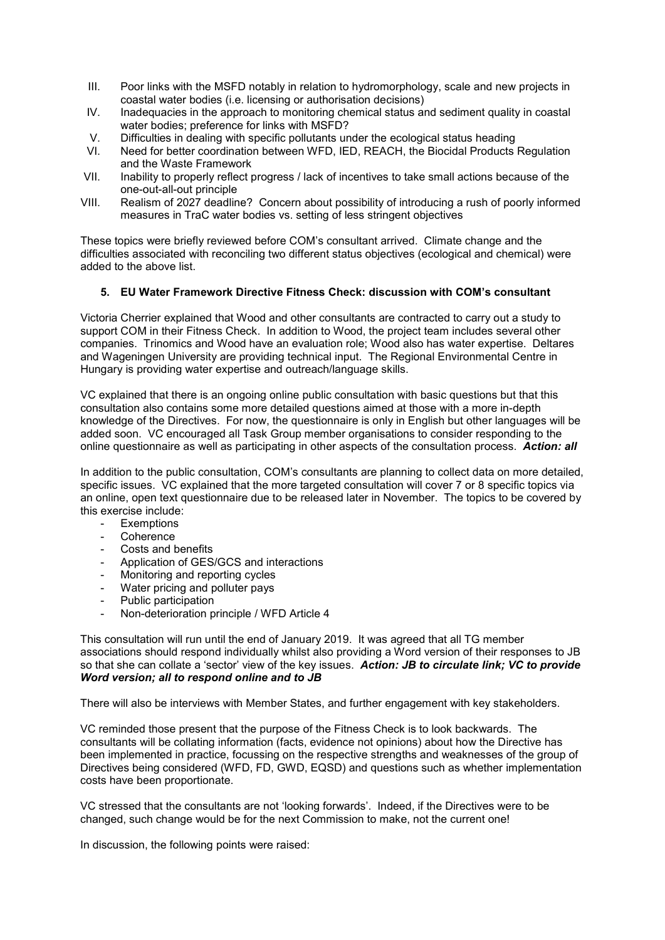- III. Poor links with the MSFD notably in relation to hydromorphology, scale and new projects in coastal water bodies (i.e. licensing or authorisation decisions)
- IV. Inadequacies in the approach to monitoring chemical status and sediment quality in coastal water bodies; preference for links with MSFD?
- V. Difficulties in dealing with specific pollutants under the ecological status heading
- VI. Need for better coordination between WFD, IED, REACH, the Biocidal Products Regulation and the Waste Framework
- VII. Inability to properly reflect progress / lack of incentives to take small actions because of the one-out-all-out principle
- VIII. Realism of 2027 deadline? Concern about possibility of introducing a rush of poorly informed measures in TraC water bodies vs. setting of less stringent objectives

These topics were briefly reviewed before COM's consultant arrived. Climate change and the difficulties associated with reconciling two different status objectives (ecological and chemical) were added to the above list.

#### **5. EU Water Framework Directive Fitness Check: discussion with COM's consultant**

Victoria Cherrier explained that Wood and other consultants are contracted to carry out a study to support COM in their Fitness Check. In addition to Wood, the project team includes several other companies. Trinomics and Wood have an evaluation role; Wood also has water expertise. Deltares and Wageningen University are providing technical input. The Regional Environmental Centre in Hungary is providing water expertise and outreach/language skills.

VC explained that there is an ongoing online public consultation with basic questions but that this consultation also contains some more detailed questions aimed at those with a more in-depth knowledge of the Directives. For now, the questionnaire is only in English but other languages will be added soon. VC encouraged all Task Group member organisations to consider responding to the online questionnaire as well as participating in other aspects of the consultation process. *Action: all*

In addition to the public consultation, COM's consultants are planning to collect data on more detailed, specific issues. VC explained that the more targeted consultation will cover 7 or 8 specific topics via an online, open text questionnaire due to be released later in November. The topics to be covered by this exercise include:

- **Exemptions**
- **Coherence**
- Costs and benefits
- Application of GES/GCS and interactions
- Monitoring and reporting cycles
- Water pricing and polluter pays
- Public participation
- Non-deterioration principle / WFD Article 4

This consultation will run until the end of January 2019. It was agreed that all TG member associations should respond individually whilst also providing a Word version of their responses to JB so that she can collate a 'sector' view of the key issues. *Action: JB to circulate link; VC to provide Word version; all to respond online and to JB*

There will also be interviews with Member States, and further engagement with key stakeholders.

VC reminded those present that the purpose of the Fitness Check is to look backwards. The consultants will be collating information (facts, evidence not opinions) about how the Directive has been implemented in practice, focussing on the respective strengths and weaknesses of the group of Directives being considered (WFD, FD, GWD, EQSD) and questions such as whether implementation costs have been proportionate.

VC stressed that the consultants are not 'looking forwards'. Indeed, if the Directives were to be changed, such change would be for the next Commission to make, not the current one!

In discussion, the following points were raised: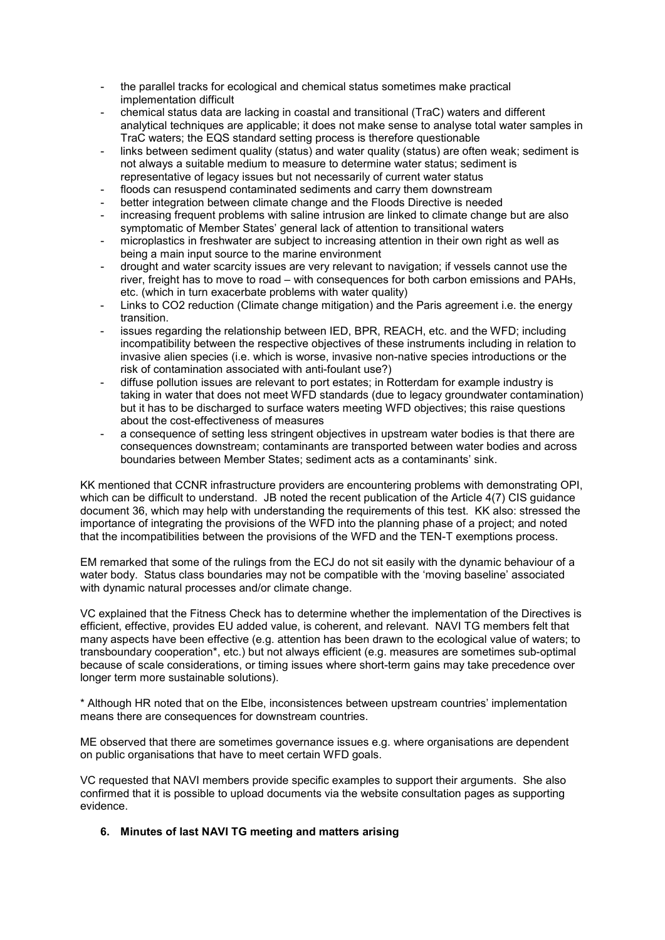- the parallel tracks for ecological and chemical status sometimes make practical implementation difficult
- chemical status data are lacking in coastal and transitional (TraC) waters and different analytical techniques are applicable; it does not make sense to analyse total water samples in TraC waters; the EQS standard setting process is therefore questionable
- links between sediment quality (status) and water quality (status) are often weak; sediment is not always a suitable medium to measure to determine water status; sediment is representative of legacy issues but not necessarily of current water status
- floods can resuspend contaminated sediments and carry them downstream
- better integration between climate change and the Floods Directive is needed
- increasing frequent problems with saline intrusion are linked to climate change but are also symptomatic of Member States' general lack of attention to transitional waters
- microplastics in freshwater are subject to increasing attention in their own right as well as being a main input source to the marine environment
- drought and water scarcity issues are very relevant to navigation; if vessels cannot use the river, freight has to move to road – with consequences for both carbon emissions and PAHs, etc. (which in turn exacerbate problems with water quality)
- Links to CO2 reduction (Climate change mitigation) and the Paris agreement i.e. the energy transition.
- issues regarding the relationship between IED, BPR, REACH, etc. and the WFD; including incompatibility between the respective objectives of these instruments including in relation to invasive alien species (i.e. which is worse, invasive non-native species introductions or the risk of contamination associated with anti-foulant use?)
- diffuse pollution issues are relevant to port estates; in Rotterdam for example industry is taking in water that does not meet WFD standards (due to legacy groundwater contamination) but it has to be discharged to surface waters meeting WFD objectives; this raise questions about the cost-effectiveness of measures
- a consequence of setting less stringent objectives in upstream water bodies is that there are consequences downstream; contaminants are transported between water bodies and across boundaries between Member States; sediment acts as a contaminants' sink.

KK mentioned that CCNR infrastructure providers are encountering problems with demonstrating OPI, which can be difficult to understand. JB noted the recent publication of the Article 4(7) CIS quidance document 36, which may help with understanding the requirements of this test. KK also: stressed the importance of integrating the provisions of the WFD into the planning phase of a project; and noted that the incompatibilities between the provisions of the WFD and the TEN-T exemptions process.

EM remarked that some of the rulings from the ECJ do not sit easily with the dynamic behaviour of a water body. Status class boundaries may not be compatible with the 'moving baseline' associated with dynamic natural processes and/or climate change.

VC explained that the Fitness Check has to determine whether the implementation of the Directives is efficient, effective, provides EU added value, is coherent, and relevant. NAVI TG members felt that many aspects have been effective (e.g. attention has been drawn to the ecological value of waters; to transboundary cooperation\*, etc.) but not always efficient (e.g. measures are sometimes sub-optimal because of scale considerations, or timing issues where short-term gains may take precedence over longer term more sustainable solutions).

\* Although HR noted that on the Elbe, inconsistences between upstream countries' implementation means there are consequences for downstream countries.

ME observed that there are sometimes governance issues e.g. where organisations are dependent on public organisations that have to meet certain WFD goals.

VC requested that NAVI members provide specific examples to support their arguments. She also confirmed that it is possible to upload documents via the website consultation pages as supporting evidence.

# **6. Minutes of last NAVI TG meeting and matters arising**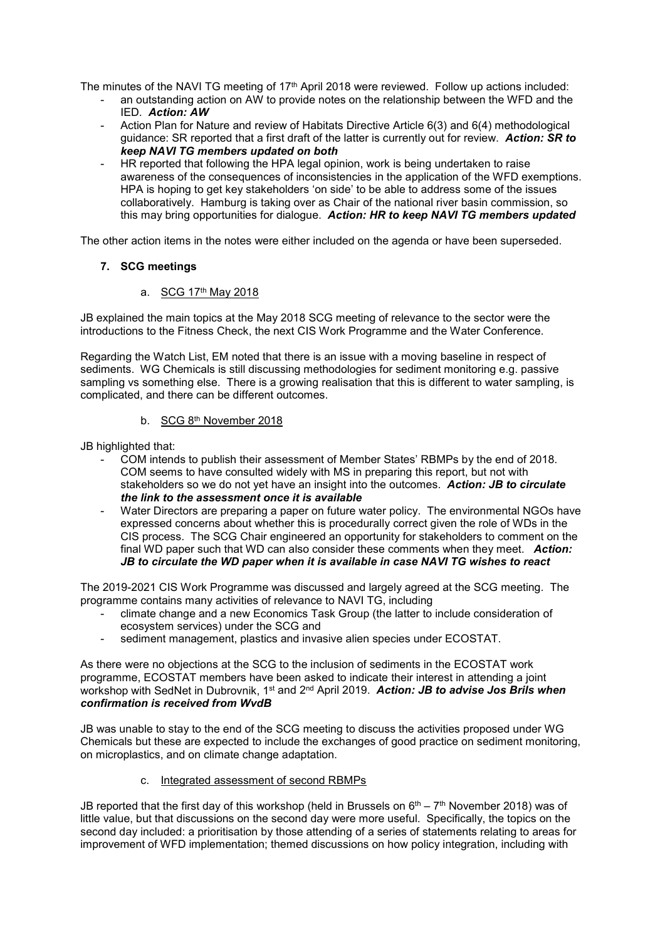The minutes of the NAVI TG meeting of 17<sup>th</sup> April 2018 were reviewed. Follow up actions included:

- an outstanding action on AW to provide notes on the relationship between the WFD and the IED. *Action: AW*
- Action Plan for Nature and review of Habitats Directive Article 6(3) and 6(4) methodological guidance: SR reported that a first draft of the latter is currently out for review. *Action: SR to keep NAVI TG members updated on both*
- HR reported that following the HPA legal opinion, work is being undertaken to raise awareness of the consequences of inconsistencies in the application of the WFD exemptions. HPA is hoping to get key stakeholders 'on side' to be able to address some of the issues collaboratively. Hamburg is taking over as Chair of the national river basin commission, so this may bring opportunities for dialogue. *Action: HR to keep NAVI TG members updated*

The other action items in the notes were either included on the agenda or have been superseded.

# **7. SCG meetings**

# a. SCG 17th May 2018

JB explained the main topics at the May 2018 SCG meeting of relevance to the sector were the introductions to the Fitness Check, the next CIS Work Programme and the Water Conference.

Regarding the Watch List, EM noted that there is an issue with a moving baseline in respect of sediments. WG Chemicals is still discussing methodologies for sediment monitoring e.g. passive sampling vs something else. There is a growing realisation that this is different to water sampling, is complicated, and there can be different outcomes.

# b. SCG 8th November 2018

JB highlighted that:

- COM intends to publish their assessment of Member States' RBMPs by the end of 2018. COM seems to have consulted widely with MS in preparing this report, but not with stakeholders so we do not yet have an insight into the outcomes. *Action: JB to circulate the link to the assessment once it is available*
- Water Directors are preparing a paper on future water policy. The environmental NGOs have expressed concerns about whether this is procedurally correct given the role of WDs in the CIS process. The SCG Chair engineered an opportunity for stakeholders to comment on the final WD paper such that WD can also consider these comments when they meet. *Action: JB to circulate the WD paper when it is available in case NAVI TG wishes to react*

The 2019-2021 CIS Work Programme was discussed and largely agreed at the SCG meeting. The programme contains many activities of relevance to NAVI TG, including

- climate change and a new Economics Task Group (the latter to include consideration of ecosystem services) under the SCG and
- sediment management, plastics and invasive alien species under ECOSTAT.

As there were no objections at the SCG to the inclusion of sediments in the ECOSTAT work programme, ECOSTAT members have been asked to indicate their interest in attending a joint workshop with SedNet in Dubrovnik, 1st and 2nd April 2019. *Action: JB to advise Jos Brils when confirmation is received from WvdB*

JB was unable to stay to the end of the SCG meeting to discuss the activities proposed under WG Chemicals but these are expected to include the exchanges of good practice on sediment monitoring, on microplastics, and on climate change adaptation.

# c. Integrated assessment of second RBMPs

JB reported that the first day of this workshop (held in Brussels on  $6<sup>th</sup> - 7<sup>th</sup>$  November 2018) was of little value, but that discussions on the second day were more useful. Specifically, the topics on the second day included: a prioritisation by those attending of a series of statements relating to areas for improvement of WFD implementation; themed discussions on how policy integration, including with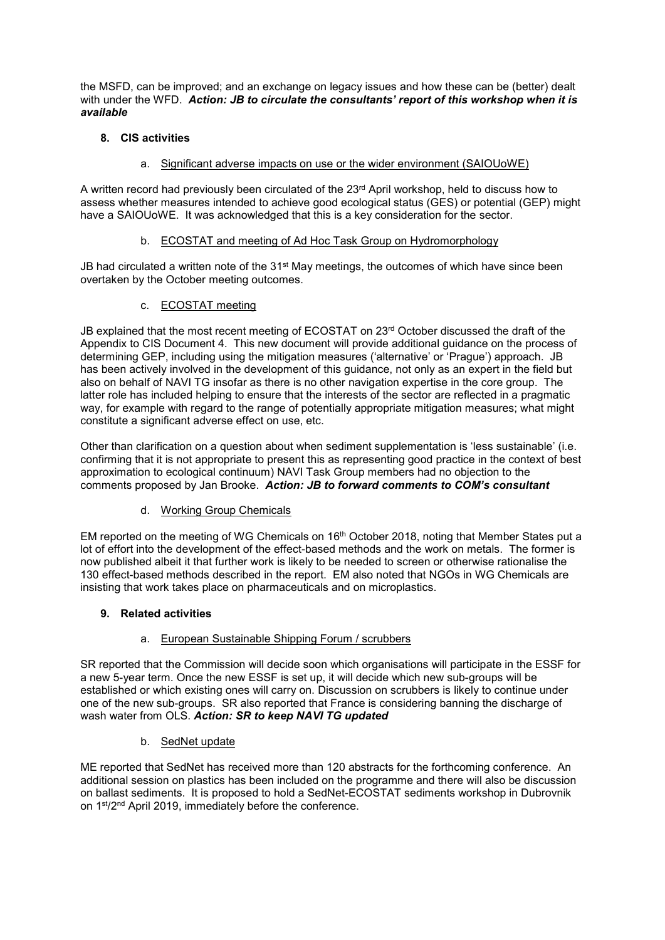the MSFD, can be improved; and an exchange on legacy issues and how these can be (better) dealt with under the WFD. *Action: JB to circulate the consultants' report of this workshop when it is available*

# **8. CIS activities**

# a. Significant adverse impacts on use or the wider environment (SAIOUoWE)

A written record had previously been circulated of the 23<sup>rd</sup> April workshop, held to discuss how to assess whether measures intended to achieve good ecological status (GES) or potential (GEP) might have a SAIOUoWE. It was acknowledged that this is a key consideration for the sector.

# b. ECOSTAT and meeting of Ad Hoc Task Group on Hydromorphology

JB had circulated a written note of the  $31<sup>st</sup>$  May meetings, the outcomes of which have since been overtaken by the October meeting outcomes.

# c. ECOSTAT meeting

JB explained that the most recent meeting of ECOSTAT on 23<sup>rd</sup> October discussed the draft of the Appendix to CIS Document 4. This new document will provide additional guidance on the process of determining GEP, including using the mitigation measures ('alternative' or 'Prague') approach. JB has been actively involved in the development of this guidance, not only as an expert in the field but also on behalf of NAVI TG insofar as there is no other navigation expertise in the core group. The latter role has included helping to ensure that the interests of the sector are reflected in a pragmatic way, for example with regard to the range of potentially appropriate mitigation measures; what might constitute a significant adverse effect on use, etc.

Other than clarification on a question about when sediment supplementation is 'less sustainable' (i.e. confirming that it is not appropriate to present this as representing good practice in the context of best approximation to ecological continuum) NAVI Task Group members had no objection to the comments proposed by Jan Brooke. *Action: JB to forward comments to COM's consultant*

# d. Working Group Chemicals

EM reported on the meeting of WG Chemicals on 16th October 2018, noting that Member States put a lot of effort into the development of the effect-based methods and the work on metals. The former is now published albeit it that further work is likely to be needed to screen or otherwise rationalise the 130 effect-based methods described in the report. EM also noted that NGOs in WG Chemicals are insisting that work takes place on pharmaceuticals and on microplastics.

# **9. Related activities**

# a. European Sustainable Shipping Forum / scrubbers

SR reported that the Commission will decide soon which organisations will participate in the ESSF for a new 5-year term. Once the new ESSF is set up, it will decide which new sub-groups will be established or which existing ones will carry on. Discussion on scrubbers is likely to continue under one of the new sub-groups. SR also reported that France is considering banning the discharge of wash water from OLS. *Action: SR to keep NAVI TG updated*

# b. SedNet update

ME reported that SedNet has received more than 120 abstracts for the forthcoming conference. An additional session on plastics has been included on the programme and there will also be discussion on ballast sediments. It is proposed to hold a SedNet-ECOSTAT sediments workshop in Dubrovnik on 1st/2nd April 2019, immediately before the conference.